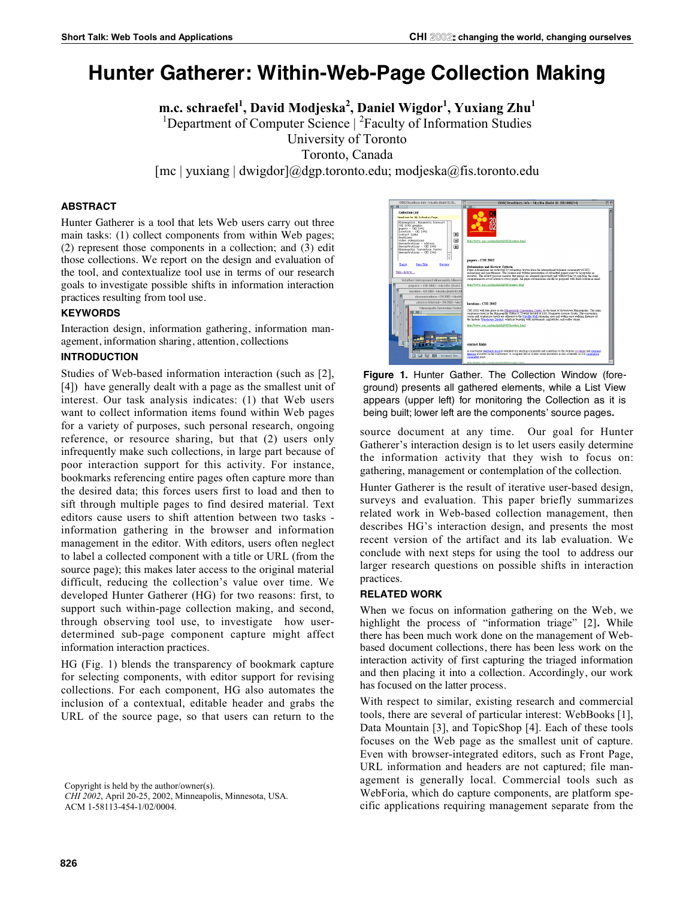# **Hunter Gatherer: Within-Web-Page Collection Making**

**m.c. schraefel<sup>1</sup> , David Modjeska<sup>2</sup> , Daniel Wigdor1 , Yuxiang Zhu<sup>1</sup>** <sup>1</sup>Department of Computer Science | <sup>2</sup>Faculty of Information Studies University of Toronto Toronto, Canada [mc | yuxiang | dwigdor]@dgp.toronto.edu; modjeska@fis.toronto.edu

### **ABSTRACT**

Hunter Gatherer is a tool that lets Web users carry out three main tasks: (1) collect components from within Web pages; (2) represent those components in a collection; and (3) edit those collections. We report on the design and evaluation of the tool, and contextualize tool use in terms of our research goals to investigate possible shifts in information interaction practices resulting from tool use.

### **KEYWORDS**

Interaction design, information gathering, information management, information sharing, attention, collections

## **INTRODUCTION**

Studies of Web-based information interaction (such as [2], [4]) have generally dealt with a page as the smallest unit of interest. Our task analysis indicates: (1) that Web users want to collect information items found within Web pages for a variety of purposes, such personal research, ongoing reference, or resource sharing, but that (2) users only infrequently make such collections, in large part because of poor interaction support for this activity. For instance, bookmarks referencing entire pages often capture more than the desired data; this forces users first to load and then to sift through multiple pages to find desired material. Text editors cause users to shift attention between two tasks information gathering in the browser and information management in the editor. With editors, users often neglect to label a collected component with a title or URL (from the source page); this makes later access to the original material difficult, reducing the collection's value over time. We developed Hunter Gatherer (HG) for two reasons: first, to support such within-page collection making, and second, through observing tool use, to investigate how userdetermined sub-page component capture might affect information interaction practices.

HG (Fig. 1) blends the transparency of bookmark capture for selecting components, with editor support for revising collections. For each component, HG also automates the inclusion of a contextual, editable header and grabs the URL of the source page, so that users can return to the

Copyright is held by the author/owner(s).

*CHI 2002*, April 20-25, 2002, Minneapolis, Minnesota, USA. ACM 1-58113-454-1/02/0004.



**Figure 1.** Hunter Gather. The Collection Window (foreground) presents all gathered elements, while a List View appears (upper left) for monitoring the Collection as it is being built; lower left are the components' source pages**.**

source document at any time. Our goal for Hunter Gatherer's interaction design is to let users easily determine the information activity that they wish to focus on: gathering, management or contemplation of the collection.

Hunter Gatherer is the result of iterative user-based design, surveys and evaluation. This paper briefly summarizes related work in Web-based collection management, then describes HG's interaction design, and presents the most recent version of the artifact and its lab evaluation. We conclude with next steps for using the tool to address our larger research questions on possible shifts in interaction practices.

#### **RELATED WORK**

When we focus on information gathering on the Web, we highlight the process of "information triage" [2]**.** While there has been much work done on the management of Webbased document collections, there has been less work on the interaction activity of first capturing the triaged information and then placing it into a collection. Accordingly, our work has focused on the latter process.

With respect to similar, existing research and commercial tools, there are several of particular interest: WebBooks [1], Data Mountain [3], and TopicShop [4]. Each of these tools focuses on the Web page as the smallest unit of capture. Even with browser-integrated editors, such as Front Page, URL information and headers are not captured; file management is generally local. Commercial tools such as WebForia, which do capture components, are platform specific applications requiring management separate from the